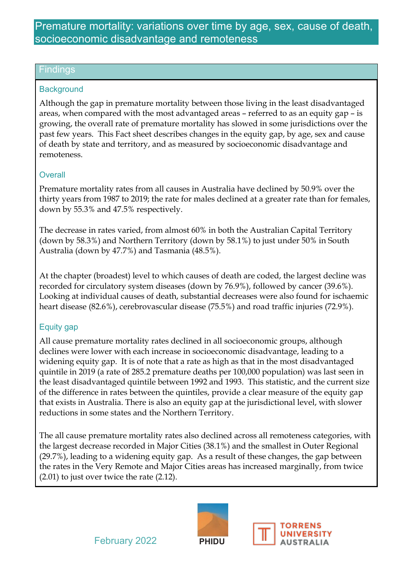# Premature mortality: variations over time by age, sex, cause of death, socioeconomic disadvantage and remoteness

#### Findings

#### **Background**

Although the gap in premature mortality between those living in the least disadvantaged areas, when compared with the most advantaged areas – referred to as an equity gap – is growing, the overall rate of premature mortality has slowed in some jurisdictions over the past few years. This Fact sheet describes changes in the equity gap, by age, sex and cause of death by state and territory, and as measured by socioeconomic disadvantage and remoteness.

#### **Overall**

Premature mortality rates from all causes in Australia have declined by 50.9% over the thirty years from 1987 to 2019; the rate for males declined at a greater rate than for females, down by 55.3% and 47.5% respectively.

The decrease in rates varied, from almost 60% in both the Australian Capital Territory (down by 58.3%) and Northern Territory (down by 58.1%) to just under 50% in South Australia (down by 47.7%) and Tasmania (48.5%).

At the chapter (broadest) level to which causes of death are coded, the largest decline was recorded for circulatory system diseases (down by 76.9%), followed by cancer (39.6%). Looking at individual causes of death, substantial decreases were also found for ischaemic heart disease (82.6%), cerebrovascular disease (75.5%) and road traffic injuries (72.9%).

### Equity gap

All cause premature mortality rates declined in all socioeconomic groups, although declines were lower with each increase in socioeconomic disadvantage, leading to a widening equity gap. It is of note that a rate as high as that in the most disadvantaged quintile in 2019 (a rate of 285.2 premature deaths per 100,000 population) was last seen in the least disadvantaged quintile between 1992 and 1993. This statistic, and the current size of the difference in rates between the quintiles, provide a clear measure of the equity gap that exists in Australia. There is also an equity gap at the jurisdictional level, with slower reductions in some states and the Northern Territory.

The all cause premature mortality rates also declined across all remoteness categories, with the largest decrease recorded in Major Cities (38.1%) and the smallest in Outer Regional (29.7%), leading to a widening equity gap. As a result of these changes, the gap between the rates in the Very Remote and Major Cities areas has increased marginally, from twice (2.01) to just over twice the rate (2.12).



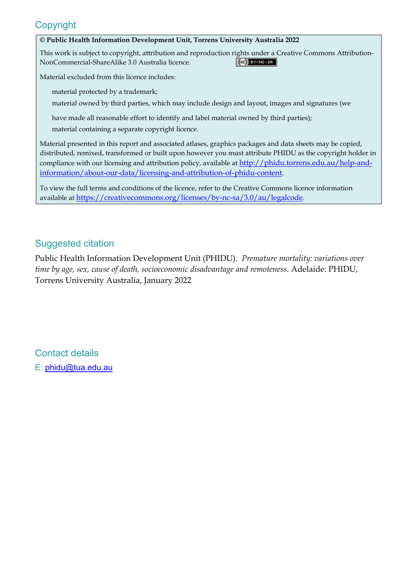# **Copyright**

#### **© Public Health Information Development Unit, Torrens University Australia 2022**

This work is subject to copyright, attribution and reproduction rights under a Creative Commons Attribution-NonCommercial-ShareAlike 3.0 Australia licence.  $(G)$  BY-NC-SA

Material excluded from this licence includes:

material protected by a trademark;

material owned by third parties, which may include design and layout, images and signatures (we

have made all reasonable effort to identify and label material owned by third parties);

material containing a separate copyright licence.

Material presented in this report and associated atlases, graphics packages and data sheets may be copied, distributed, remixed, transformed or built upon however you must attribute PHIDU as the copyright holder in compliance with our licensing and attribution policy, available at [http://phidu.torrens.edu.au/help-and](http://phidu.torrens.edu.au/help-and-information/about-our-data/licensing-and-attribution-of-phidu-content)[information/about-our-data/licensing-and-attribution-of-phidu-content.](http://phidu.torrens.edu.au/help-and-information/about-our-data/licensing-and-attribution-of-phidu-content)

To view the full terms and conditions of the licence, refer to the Creative Commons licence information available at [https://creativecommons.org/licenses/by-nc-sa/3.0/au/legalcode.](https://creativecommons.org/licenses/by-nc-sa/3.0/au/legalcode)

# Suggested citation

Public Health Information Development Unit (PHIDU). *Premature mortality: variations over time by age, sex, cause of death, socioeconomic disadvantage and remoteness*. Adelaide: PHIDU, Torrens University Australia, January 2022

Contact details E: [phidu@tua.edu.au](mailto:phidu@tua.edu.au)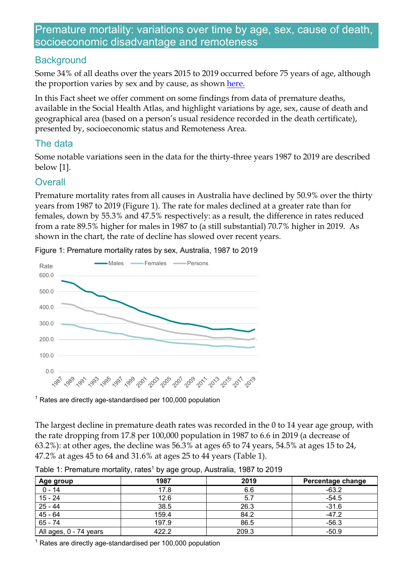# Premature mortality: variations over time by age, sex, cause of death, socioeconomic disadvantage and remoteness

### **Background**

Some 34% of all deaths over the years 2015 to 2019 occurred before 75 years of age, although the proportion varies by sex and by cause, as shown [here.](http://phidu.torrens.edu.au/notes-on-the-data/health-status-disability-deaths/premature-and-avoidable-mortality)

In this Fact sheet we offer comment on some findings from data of premature deaths, available in the Social Health Atlas, and highlight variations by age, sex, cause of death and geographical area (based on a person's usual residence recorded in the death certificate), presented by, socioeconomic status and Remoteness Area.

# The data

Some notable variations seen in the data for the thirty-three years 1987 to 2019 are described below [1].

# **Overall**

Premature mortality rates from all causes in Australia have declined by 50.9% over the thirty years from 1987 to 2019 (Figure 1). The rate for males declined at a greater rate than for females, down by 55.3% and 47.5% respectively: as a result, the difference in rates reduced from a rate 89.5% higher for males in 1987 to (a still substantial) 70.7% higher in 2019. As shown in the chart, the rate of decline has slowed over recent years.



Figure 1: Premature mortality rates by sex, Australia, 1987 to 2019

 $1$  Rates are directly age-standardised per 100,000 population

The largest decline in premature death rates was recorded in the 0 to 14 year age group, with the rate dropping from 17.8 per 100,000 population in 1987 to 6.6 in 2019 (a decrease of 63.2%): at other ages, the decline was 56.3% at ages 65 to 74 years, 54.5% at ages 15 to 24, 47.2% at ages 45 to 64 and 31.6% at ages 25 to 44 years (Table 1).

| Age group              | 1987  | 2019  | Percentage change |
|------------------------|-------|-------|-------------------|
| $0 - 14$               | 17.8  | 6.6   | $-63.2$           |
| $15 - 24$              | 12.6  | 5.    | $-54.5$           |
| $25 - 44$              | 38.5  | 26.3  | $-31.6$           |
| $45 - 64$              | 159.4 | 84.2  | $-47.2$           |
| $65 - 74$              | 197.9 | 86.5  | $-56.3$           |
| All ages, 0 - 74 years | 422.2 | 209.3 | $-50.9$           |

Table 1: Premature mortality, rates<sup>1</sup> by age group, Australia, 1987 to 2019

<sup>1</sup> Rates are directly age-standardised per 100,000 population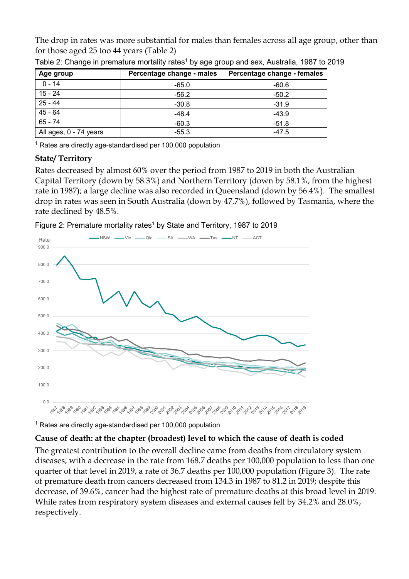The drop in rates was more substantial for males than females across all age group, other than for those aged 25 too 44 years (Table 2)

| Age group              | Percentage change - males | Percentage change - females |  |
|------------------------|---------------------------|-----------------------------|--|
| $0 - 14$               | $-65.0$                   | -60.6                       |  |
| 15 - 24                | $-56.2$                   | $-50.2$                     |  |
| 25 - 44                | $-30.8$                   | $-31.9$                     |  |
| $45 - 64$              | $-48.4$                   | $-43.9$                     |  |
| $65 - 74$              | $-60.3$                   | $-51.8$                     |  |
| All ages, 0 - 74 years | $-55.3$                   | $-47.5$                     |  |

Table 2: Change in premature mortality rates<sup>1</sup> by age group and sex, Australia, 1987 to 2019

 $1$  Rates are directly age-standardised per 100,000 population

#### **State/ Territory**

Rates decreased by almost 60% over the period from 1987 to 2019 in both the Australian Capital Territory (down by 58.3%) and Northern Territory (down by 58.1%, from the highest rate in 1987); a large decline was also recorded in Queensland (down by 56.4%). The smallest drop in rates was seen in South Australia (down by 47.7%), followed by Tasmania, where the rate declined by 48.5%.

Figure 2: Premature mortality rates<sup>1</sup> by State and Territory, 1987 to 2019



 $1$  Rates are directly age-standardised per 100,000 population

### **Cause of death: at the chapter (broadest) level to which the cause of death is coded**

The greatest contribution to the overall decline came from deaths from circulatory system diseases, with a decrease in the rate from 168.7 deaths per 100,000 population to less than one quarter of that level in 2019, a rate of 36.7 deaths per 100,000 population (Figure 3). The rate of premature death from cancers decreased from 134.3 in 1987 to 81.2 in 2019; despite this decrease, of 39.6%, cancer had the highest rate of premature deaths at this broad level in 2019. While rates from respiratory system diseases and external causes fell by 34.2% and 28.0%, respectively.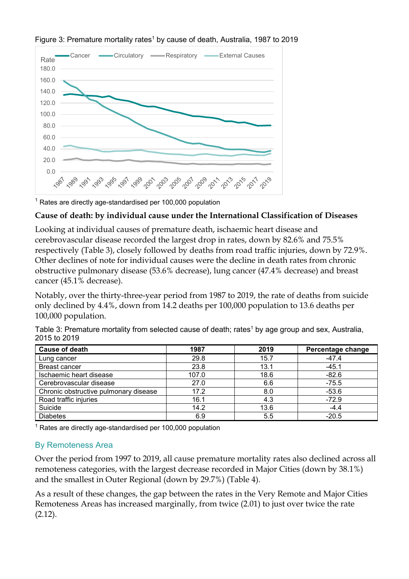

Figure 3: Premature mortality rates<sup>1</sup> by cause of death, Australia, 1987 to 2019

 $1$  Rates are directly age-standardised per 100,000 population

# **Cause of death: by individual cause under the International Classification of Diseases**

Looking at individual causes of premature death, ischaemic heart disease and cerebrovascular disease recorded the largest drop in rates, down by 82.6% and 75.5% respectively (Table 3), closely followed by deaths from road traffic injuries, down by 72.9%. Other declines of note for individual causes were the decline in death rates from chronic obstructive pulmonary disease (53.6% decrease), lung cancer (47.4% decrease) and breast cancer (45.1% decrease).

Notably, over the thirty-three-year period from 1987 to 2019, the rate of deaths from suicide only declined by 4.4%, down from 14.2 deaths per 100,000 population to 13.6 deaths per 100,000 population.

| Table 3: Premature mortality from selected cause of death; rates <sup>1</sup> by age group and sex, Australia, |  |
|----------------------------------------------------------------------------------------------------------------|--|
| 2015 to 2019                                                                                                   |  |

| <b>Cause of death</b>                 | 1987  | 2019 | Percentage change |
|---------------------------------------|-------|------|-------------------|
| Lung cancer                           | 29.8  | 15.7 | $-47.4$           |
| <b>Breast cancer</b>                  | 23.8  | 13.1 | $-45.1$           |
| Ischaemic heart disease               | 107.0 | 18.6 | $-82.6$           |
| Cerebrovascular disease               | 27.0  | 6.6  | $-75.5$           |
| Chronic obstructive pulmonary disease | 17.2  | 8.0  | $-53.6$           |
| Road traffic injuries                 | 16.1  | 4.3  | $-72.9$           |
| Suicide                               | 14.2  | 13.6 | $-4.4$            |
| <b>Diabetes</b>                       | 6.9   | 5.5  | $-20.5$           |

 $1$  Rates are directly age-standardised per 100,000 population

# By Remoteness Area

Over the period from 1997 to 2019, all cause premature mortality rates also declined across all remoteness categories, with the largest decrease recorded in Major Cities (down by 38.1%) and the smallest in Outer Regional (down by 29.7%) (Table 4).

As a result of these changes, the gap between the rates in the Very Remote and Major Cities Remoteness Areas has increased marginally, from twice (2.01) to just over twice the rate (2.12).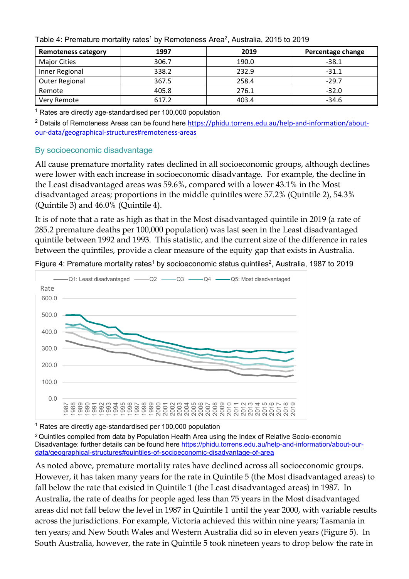Table 4: Premature mortality rates<sup>1</sup> by Remoteness Area<sup>2</sup>, Australia, 2015 to 2019

| <b>Remoteness category</b> | 1997  | 2019  | Percentage change |
|----------------------------|-------|-------|-------------------|
| <b>Major Cities</b>        | 306.7 | 190.0 | $-38.1$           |
| Inner Regional             | 338.2 | 232.9 | $-31.1$           |
| <b>Outer Regional</b>      | 367.5 | 258.4 | $-29.7$           |
| Remote                     | 405.8 | 276.1 | $-32.0$           |
| Very Remote                | 617.2 | 403.4 | $-34.6$           |

 $1$  Rates are directly age-standardised per 100,000 population

<sup>2</sup> Details of Remoteness Areas can be found here [https://phidu.torrens.edu.au/help-and-information/about](https://phidu.torrens.edu.au/help-and-information/about-our-data/geographical-structures#remoteness-areas)[our-data/geographical-structures#remoteness-areas](https://phidu.torrens.edu.au/help-and-information/about-our-data/geographical-structures#remoteness-areas)

#### By socioeconomic disadvantage

All cause premature mortality rates declined in all socioeconomic groups, although declines were lower with each increase in socioeconomic disadvantage. For example, the decline in the Least disadvantaged areas was 59.6%, compared with a lower 43.1% in the Most disadvantaged areas; proportions in the middle quintiles were 57.2% (Quintile 2), 54.3% (Quintile 3) and 46.0% (Quintile 4).

It is of note that a rate as high as that in the Most disadvantaged quintile in 2019 (a rate of 285.2 premature deaths per 100,000 population) was last seen in the Least disadvantaged quintile between 1992 and 1993. This statistic, and the current size of the difference in rates between the quintiles, provide a clear measure of the equity gap that exists in Australia.



Figure 4: Premature mortality rates<sup>1</sup> by socioeconomic status quintiles<sup>2</sup>, Australia, 1987 to 2019

 $1$  Rates are directly age-standardised per 100,000 population

<sup>2</sup> Quintiles compiled from data by Population Health Area using the Index of Relative Socio-economic Disadvantage: further details can be found here [https://phidu.torrens.edu.au/help-and-information/about-our](https://phidu.torrens.edu.au/help-and-information/about-our-data/geographical-structures#quintiles-of-socioeconomic-disadvantage-of-area)[data/geographical-structures#quintiles-of-socioeconomic-disadvantage-of-area](https://phidu.torrens.edu.au/help-and-information/about-our-data/geographical-structures#quintiles-of-socioeconomic-disadvantage-of-area)

As noted above, premature mortality rates have declined across all socioeconomic groups. However, it has taken many years for the rate in Quintile 5 (the Most disadvantaged areas) to fall below the rate that existed in Quintile 1 (the Least disadvantaged areas) in 1987. In Australia, the rate of deaths for people aged less than 75 years in the Most disadvantaged areas did not fall below the level in 1987 in Quintile 1 until the year 2000, with variable results across the jurisdictions. For example, Victoria achieved this within nine years; Tasmania in ten years; and New South Wales and Western Australia did so in eleven years (Figure 5). In South Australia, however, the rate in Quintile 5 took nineteen years to drop below the rate in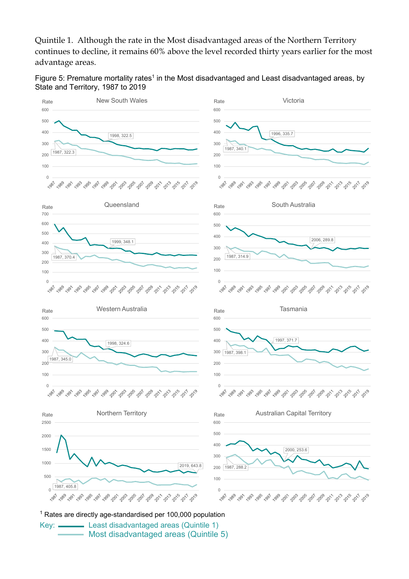Quintile 1. Although the rate in the Most disadvantaged areas of the Northern Territory continues to decline, it remains 60% above the level recorded thirty years earlier for the most advantage areas.